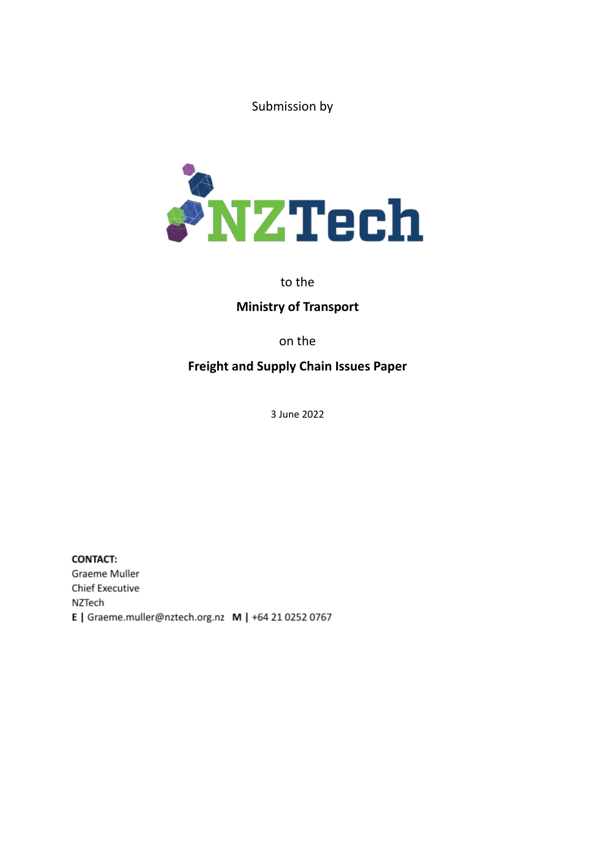Submission by



## to the

# **Ministry of Transport**

on the

# **Freight and Supply Chain Issues Paper**

3 June 2022

**CONTACT:** Graeme Muller **Chief Executive** NZTech E | Graeme.muller@nztech.org.nz M | +64 21 0252 0767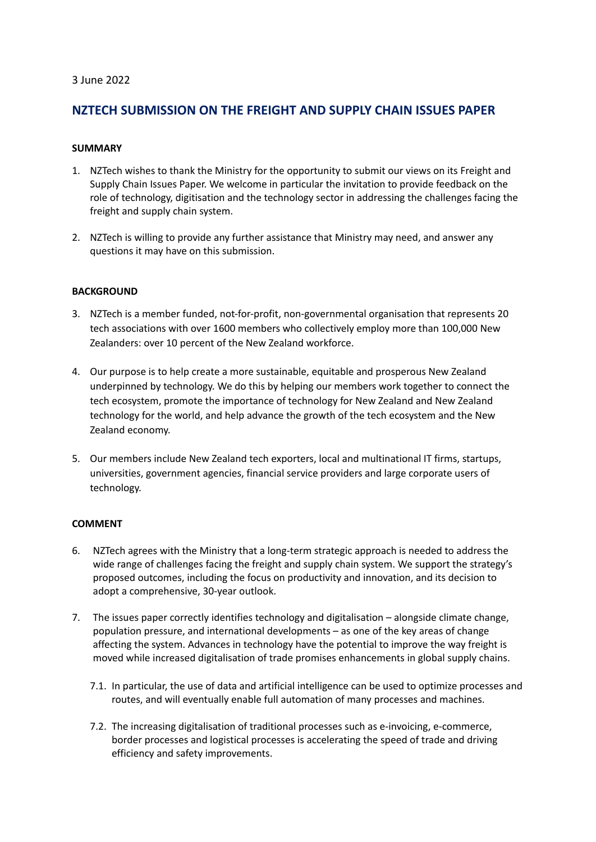### 3 June 2022

## **NZTECH SUBMISSION ON THE FREIGHT AND SUPPLY CHAIN ISSUES PAPER**

#### **SUMMARY**

- 1. NZTech wishes to thank the Ministry for the opportunity to submit our views on its Freight and Supply Chain Issues Paper. We welcome in particular the invitation to provide feedback on the role of technology, digitisation and the technology sector in addressing the challenges facing the freight and supply chain system.
- 2. NZTech is willing to provide any further assistance that Ministry may need, and answer any questions it may have on this submission.

### **BACKGROUND**

- 3. NZTech is a member funded, not-for-profit, non-governmental organisation that represents 20 tech associations with over 1600 members who collectively employ more than 100,000 New Zealanders: over 10 percent of the New Zealand workforce.
- 4. Our purpose is to help create a more sustainable, equitable and prosperous New Zealand underpinned by technology. We do this by helping our members work together to connect the tech ecosystem, promote the importance of technology for New Zealand and New Zealand technology for the world, and help advance the growth of the tech ecosystem and the New Zealand economy.
- 5. Our members include New Zealand tech exporters, local and multinational IT firms, startups, universities, government agencies, financial service providers and large corporate users of technology.

### **COMMENT**

- 6. NZTech agrees with the Ministry that a long-term strategic approach is needed to address the wide range of challenges facing the freight and supply chain system. We support the strategy's proposed outcomes, including the focus on productivity and innovation, and its decision to adopt a comprehensive, 30-year outlook.
- 7. The issues paper correctly identifies technology and digitalisation alongside climate change, population pressure, and international developments – as one of the key areas of change affecting the system. Advances in technology have the potential to improve the way freight is moved while increased digitalisation of trade promises enhancements in global supply chains.
	- 7.1. In particular, the use of data and artificial intelligence can be used to optimize processes and routes, and will eventually enable full automation of many processes and machines.
	- 7.2. The increasing digitalisation of traditional processes such as e-invoicing, e-commerce, border processes and logistical processes is accelerating the speed of trade and driving efficiency and safety improvements.